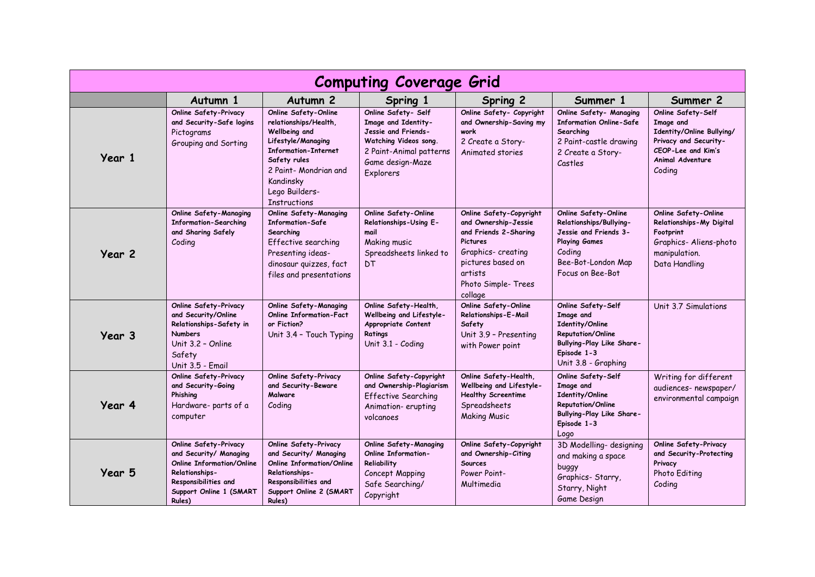| <b>Computing Coverage Grid</b> |                                                                                                                                                                           |                                                                                                                                                                                                                    |                                                                                                                                                        |                                                                                                                                                                                   |                                                                                                                                                      |                                                                                                                                           |  |  |  |
|--------------------------------|---------------------------------------------------------------------------------------------------------------------------------------------------------------------------|--------------------------------------------------------------------------------------------------------------------------------------------------------------------------------------------------------------------|--------------------------------------------------------------------------------------------------------------------------------------------------------|-----------------------------------------------------------------------------------------------------------------------------------------------------------------------------------|------------------------------------------------------------------------------------------------------------------------------------------------------|-------------------------------------------------------------------------------------------------------------------------------------------|--|--|--|
|                                | Autumn 1                                                                                                                                                                  | Autumn <sub>2</sub>                                                                                                                                                                                                | Spring 1                                                                                                                                               | Spring 2                                                                                                                                                                          | Summer 1                                                                                                                                             | Summer 2                                                                                                                                  |  |  |  |
| Year 1                         | <b>Online Safety-Privacy</b><br>and Security-Safe logins<br>Pictograms<br>Grouping and Sorting                                                                            | Online Safety-Online<br>relationships/Health,<br>Wellbeing and<br>Lifestyle/Managing<br><b>Information-Internet</b><br>Safety rules<br>2 Paint- Mondrian and<br>Kandinsky<br>Lego Builders-<br><b>Instructions</b> | Online Safety- Self<br>Image and Identity-<br>Jessie and Friends-<br>Watching Videos song.<br>2 Paint-Animal patterns<br>Game design-Maze<br>Explorers | Online Safety- Copyright<br>and Ownership-Saving my<br>work<br>2 Create a Story-<br>Animated stories                                                                              | Online Safety- Managing<br><b>Information Online-Safe</b><br>Searching<br>2 Paint-castle drawing<br>2 Create a Story-<br>Castles                     | Online Safety-Self<br>Image and<br>Identity/Online Bullying/<br>Privacy and Security-<br>CEOP-Lee and Kim's<br>Animal Adventure<br>Coding |  |  |  |
| Year 2                         | <b>Online Safety-Managing</b><br><b>Information-Searching</b><br>and Sharing Safely<br>Coding                                                                             | <b>Online Safety-Managing</b><br><b>Information-Safe</b><br>Searching<br>Effective searching<br>Presenting ideas-<br>dinosaur quizzes, fact<br>files and presentations                                             | Online Safety-Online<br>Relationships-Using E-<br>mail<br>Making music<br>Spreadsheets linked to<br><b>DT</b>                                          | Online Safety-Copyright<br>and Ownership-Jessie<br>and Friends 2-Sharing<br><b>Pictures</b><br>Graphics-creating<br>pictures based on<br>artists<br>Photo Simple-Trees<br>collage | Online Safety-Online<br>Relationships/Bullying-<br>Jessie and Friends 3-<br><b>Playing Games</b><br>Coding<br>Bee-Bot-London Map<br>Focus on Bee-Bot | Online Safety-Online<br>Relationships-My Digital<br>Footprint<br>Graphics-Aliens-photo<br>manipulation.<br>Data Handling                  |  |  |  |
| Year 3                         | Online Safety-Privacy<br>and Security/Online<br>Relationships-Safety in<br><b>Numbers</b><br>Unit 3.2 - Online<br>Safety<br>Unit 3.5 - Email                              | <b>Online Safety-Managing</b><br><b>Online Information-Fact</b><br>or Fiction?<br>Unit 3.4 - Touch Typing                                                                                                          | Online Safety-Health,<br>Wellbeing and Lifestyle-<br>Appropriate Content<br>Ratings<br>Unit 3.1 - Coding                                               | Online Safety-Online<br>Relationships-E-Mail<br>Safety<br>Unit 3.9 - Presenting<br>with Power point                                                                               | Online Safety-Self<br>Image and<br>Identity/Online<br><b>Reputation/Online</b><br>Bullying-Play Like Share-<br>Episode 1-3<br>Unit 3.8 - Graphing    | Unit 3.7 Simulations                                                                                                                      |  |  |  |
| Year 4                         | <b>Online Safety-Privacy</b><br>and Security-Going<br>Phishing<br>Hardware-parts of a<br>computer                                                                         | <b>Online Safety-Privacy</b><br>and Security-Beware<br>Malware<br>Coding                                                                                                                                           | Online Safety-Copyright<br>and Ownership-Plagiarism<br>Effective Searching<br>Animation-erupting<br>volcanoes                                          | Online Safety-Health,<br>Wellbeing and Lifestyle-<br><b>Healthy Screentime</b><br>Spreadsheets<br><b>Making Music</b>                                                             | Online Safety-Self<br>Image and<br>Identity/Online<br>Reputation/Online<br>Bullying-Play Like Share-<br>Episode 1-3<br>Logo                          | Writing for different<br>audiences- newspaper/<br>environmental campaign                                                                  |  |  |  |
| Year 5                         | <b>Online Safety-Privacy</b><br>and Security/ Managing<br><b>Online Information/Online</b><br>Relationships-<br>Responsibilities and<br>Support Online 1 (SMART<br>Rules) | <b>Online Safety-Privacy</b><br>and Security/ Managing<br><b>Online Information/Online</b><br>Relationships-<br>Responsibilities and<br>Support Online 2 (SMART<br>Rules)                                          | <b>Online Safety-Managing</b><br><b>Online Information-</b><br>Reliability<br>Concept Mapping<br>Safe Searching/<br>Copyright                          | Online Safety-Copyright<br>and Ownership-Citing<br>Sources<br>Power Point-<br>Multimedia                                                                                          | 3D Modelling- designing<br>and making a space<br>buggy<br>Graphics-Starry,<br>Starry, Night<br>Game Design                                           | <b>Online Safety-Privacy</b><br>and Security-Protecting<br>Privacy<br>Photo Editing<br>Coding                                             |  |  |  |